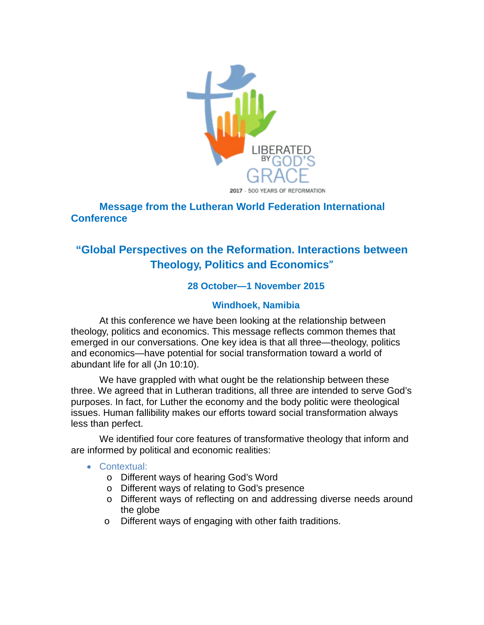

## **Message from the Lutheran World Federation International Conference**

# **"Global Perspectives on the Reformation. Interactions between Theology, Politics and Economics"**

## **28 October—1 November 2015**

#### **Windhoek, Namibia**

At this conference we have been looking at the relationship between theology, politics and economics. This message reflects common themes that emerged in our conversations. One key idea is that all three—theology, politics and economics—have potential for social transformation toward a world of abundant life for all (Jn 10:10).

We have grappled with what ought be the relationship between these three. We agreed that in Lutheran traditions, all three are intended to serve God's purposes. In fact, for Luther the economy and the body politic were theological issues. Human fallibility makes our efforts toward social transformation always less than perfect.

We identified four core features of transformative theology that inform and are informed by political and economic realities:

#### • Contextual:

- o Different ways of hearing God's Word
- o Different ways of relating to God's presence
- o Different ways of reflecting on and addressing diverse needs around the globe
- o Different ways of engaging with other faith traditions.